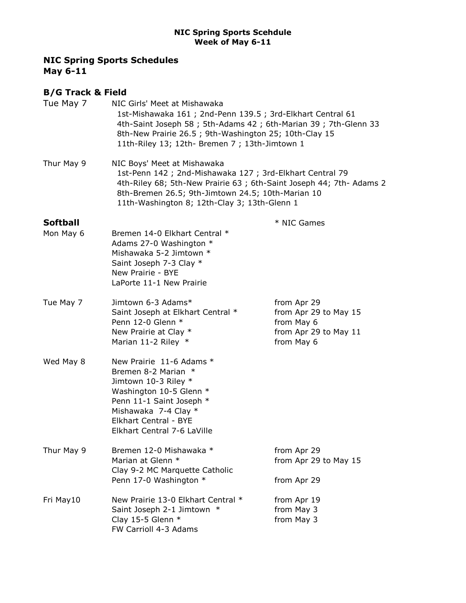# NIC Spring Sports Schedules May 6-11

# B/G Track & Field

| Tue May 7       | NIC Girls' Meet at Mishawaka<br>1st-Mishawaka 161 ; 2nd-Penn 139.5 ; 3rd-Elkhart Central 61<br>4th-Saint Joseph 58 ; 5th-Adams 42 ; 6th-Marian 39 ; 7th-Glenn 33<br>8th-New Prairie 26.5 ; 9th-Washington 25; 10th-Clay 15<br>11th-Riley 13; 12th- Bremen 7 ; 13th-Jimtown 1 |                                                                                           |  |
|-----------------|------------------------------------------------------------------------------------------------------------------------------------------------------------------------------------------------------------------------------------------------------------------------------|-------------------------------------------------------------------------------------------|--|
| Thur May 9      | NIC Boys' Meet at Mishawaka<br>1st-Penn 142 ; 2nd-Mishawaka 127 ; 3rd-Elkhart Central 79<br>4th-Riley 68; 5th-New Prairie 63; 6th-Saint Joseph 44; 7th- Adams 2<br>8th-Bremen 26.5; 9th-Jimtown 24.5; 10th-Marian 10<br>11th-Washington 8; 12th-Clay 3; 13th-Glenn 1         |                                                                                           |  |
| <b>Softball</b> |                                                                                                                                                                                                                                                                              | * NIC Games                                                                               |  |
| Mon May 6       | Bremen 14-0 Elkhart Central *<br>Adams 27-0 Washington *<br>Mishawaka 5-2 Jimtown *<br>Saint Joseph 7-3 Clay *<br>New Prairie - BYE<br>LaPorte 11-1 New Prairie                                                                                                              |                                                                                           |  |
| Tue May 7       | Jimtown 6-3 Adams*<br>Saint Joseph at Elkhart Central *<br>Penn 12-0 Glenn *<br>New Prairie at Clay *<br>Marian 11-2 Riley *                                                                                                                                                 | from Apr 29<br>from Apr 29 to May 15<br>from May 6<br>from Apr 29 to May 11<br>from May 6 |  |
| Wed May 8       | New Prairie 11-6 Adams *<br>Bremen 8-2 Marian *<br>Jimtown 10-3 Riley *<br>Washington 10-5 Glenn *<br>Penn 11-1 Saint Joseph *<br>Mishawaka 7-4 Clay *<br>Elkhart Central - BYE<br>Elkhart Central 7-6 LaVille                                                               |                                                                                           |  |
| Thur May 9      | Bremen 12-0 Mishawaka *<br>Marian at Glenn *<br>Clay 9-2 MC Marquette Catholic<br>Penn 17-0 Washington *                                                                                                                                                                     | from Apr 29<br>from Apr 29 to May 15<br>from Apr 29                                       |  |
| Fri May10       | New Prairie 13-0 Elkhart Central *<br>Saint Joseph 2-1 Jimtown *<br>Clay 15-5 Glenn $*$<br>FW Carrioll 4-3 Adams                                                                                                                                                             | from Apr 19<br>from May 3<br>from May 3                                                   |  |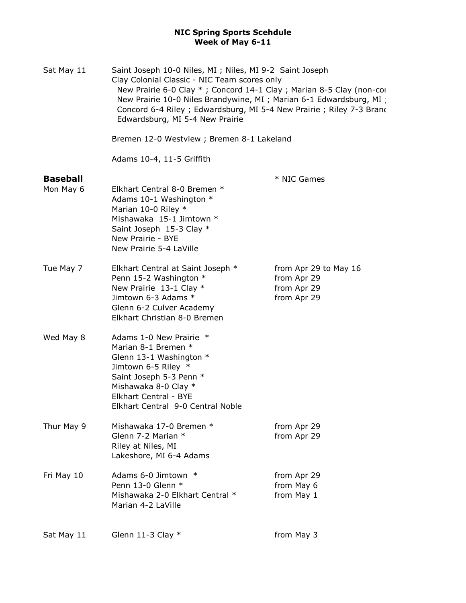| Sat May 11                   | Saint Joseph 10-0 Niles, MI ; Niles, MI 9-2 Saint Joseph<br>Clay Colonial Classic - NIC Team scores only<br>New Prairie 6-0 Clay *; Concord 14-1 Clay; Marian 8-5 Clay (non-cor<br>New Prairie 10-0 Niles Brandywine, MI ; Marian 6-1 Edwardsburg, MI<br>Concord 6-4 Riley; Edwardsburg, MI 5-4 New Prairie; Riley 7-3 Brand<br>Edwardsburg, MI 5-4 New Prairie<br>Bremen 12-0 Westview ; Bremen 8-1 Lakeland |                                                                    |  |
|------------------------------|---------------------------------------------------------------------------------------------------------------------------------------------------------------------------------------------------------------------------------------------------------------------------------------------------------------------------------------------------------------------------------------------------------------|--------------------------------------------------------------------|--|
|                              |                                                                                                                                                                                                                                                                                                                                                                                                               |                                                                    |  |
|                              | Adams 10-4, 11-5 Griffith                                                                                                                                                                                                                                                                                                                                                                                     |                                                                    |  |
| <b>Baseball</b><br>Mon May 6 | Elkhart Central 8-0 Bremen *<br>Adams 10-1 Washington *<br>Marian 10-0 Riley *<br>Mishawaka 15-1 Jimtown *<br>Saint Joseph 15-3 Clay *<br>New Prairie - BYE<br>New Prairie 5-4 LaVille                                                                                                                                                                                                                        | * NIC Games                                                        |  |
| Tue May 7                    | Elkhart Central at Saint Joseph *<br>Penn 15-2 Washington *<br>New Prairie 13-1 Clay *<br>Jimtown 6-3 Adams *<br>Glenn 6-2 Culver Academy<br>Elkhart Christian 8-0 Bremen                                                                                                                                                                                                                                     | from Apr 29 to May 16<br>from Apr 29<br>from Apr 29<br>from Apr 29 |  |
| Wed May 8                    | Adams 1-0 New Prairie *<br>Marian 8-1 Bremen *<br>Glenn 13-1 Washington *<br>Jimtown 6-5 Riley *<br>Saint Joseph 5-3 Penn *<br>Mishawaka 8-0 Clay *<br>Elkhart Central - BYE<br>Elkhart Central 9-0 Central Noble                                                                                                                                                                                             |                                                                    |  |
| Thur May 9                   | Mishawaka 17-0 Bremen *<br>Glenn 7-2 Marian *<br>Riley at Niles, MI<br>Lakeshore, MI 6-4 Adams                                                                                                                                                                                                                                                                                                                | from Apr 29<br>from Apr 29                                         |  |
| Fri May 10                   | Adams 6-0 Jimtown *<br>Penn 13-0 Glenn *<br>Mishawaka 2-0 Elkhart Central *<br>Marian 4-2 LaVille                                                                                                                                                                                                                                                                                                             | from Apr 29<br>from May 6<br>from May 1                            |  |
| Sat May 11                   | Glenn 11-3 Clay *                                                                                                                                                                                                                                                                                                                                                                                             | from May 3                                                         |  |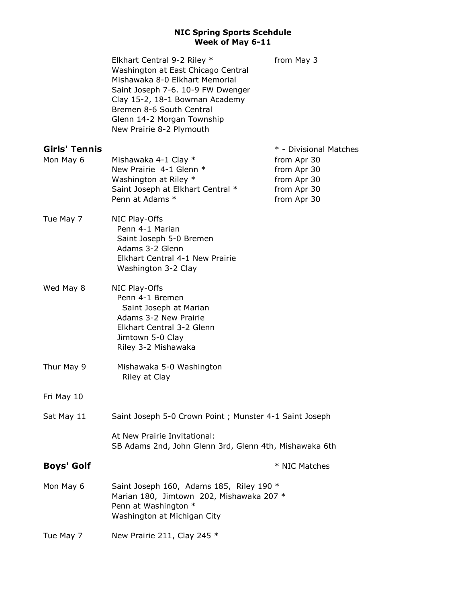|                      | Elkhart Central 9-2 Riley *<br>Washington at East Chicago Central<br>Mishawaka 8-0 Elkhart Memorial<br>Saint Joseph 7-6. 10-9 FW Dwenger<br>Clay 15-2, 18-1 Bowman Academy<br>Bremen 8-6 South Central<br>Glenn 14-2 Morgan Township<br>New Prairie 8-2 Plymouth | from May 3                                |  |
|----------------------|------------------------------------------------------------------------------------------------------------------------------------------------------------------------------------------------------------------------------------------------------------------|-------------------------------------------|--|
| <b>Girls' Tennis</b> |                                                                                                                                                                                                                                                                  | * - Divisional Matches                    |  |
| Mon May 6            | Mishawaka 4-1 Clay *<br>New Prairie 4-1 Glenn *<br>Washington at Riley *                                                                                                                                                                                         | from Apr 30<br>from Apr 30<br>from Apr 30 |  |
|                      | Saint Joseph at Elkhart Central *<br>Penn at Adams *                                                                                                                                                                                                             | from Apr 30<br>from Apr 30                |  |
| Tue May 7            | NIC Play-Offs<br>Penn 4-1 Marian<br>Saint Joseph 5-0 Bremen<br>Adams 3-2 Glenn<br>Elkhart Central 4-1 New Prairie<br>Washington 3-2 Clay                                                                                                                         |                                           |  |
| Wed May 8            | NIC Play-Offs<br>Penn 4-1 Bremen<br>Saint Joseph at Marian<br>Adams 3-2 New Prairie<br>Elkhart Central 3-2 Glenn<br>Jimtown 5-0 Clay<br>Riley 3-2 Mishawaka                                                                                                      |                                           |  |
| Thur May 9           | Mishawaka 5-0 Washington<br>Riley at Clay                                                                                                                                                                                                                        |                                           |  |
| Fri May 10           |                                                                                                                                                                                                                                                                  |                                           |  |
| Sat May 11           | Saint Joseph 5-0 Crown Point; Munster 4-1 Saint Joseph                                                                                                                                                                                                           |                                           |  |
|                      | At New Prairie Invitational:<br>SB Adams 2nd, John Glenn 3rd, Glenn 4th, Mishawaka 6th                                                                                                                                                                           |                                           |  |
| <b>Boys' Golf</b>    |                                                                                                                                                                                                                                                                  | * NIC Matches                             |  |
| Mon May 6            | Saint Joseph 160, Adams 185, Riley 190 *<br>Marian 180, Jimtown 202, Mishawaka 207 *<br>Penn at Washington *<br>Washington at Michigan City                                                                                                                      |                                           |  |
| Tue May 7            | New Prairie 211, Clay 245 *                                                                                                                                                                                                                                      |                                           |  |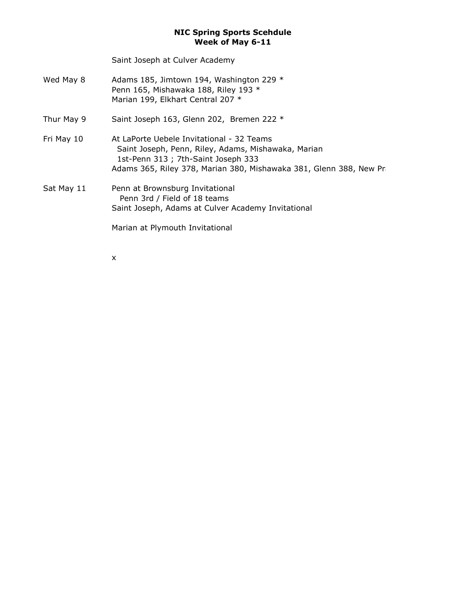Saint Joseph at Culver Academy

- Wed May 8  $\mu$  Adams 185, Jimtown 194, Washington 229  $^*$ Penn 165, Mishawaka 188, Riley 193 \* Marian 199, Elkhart Central 207 \*
- Thur May 9 Saint Joseph 163, Glenn 202, Bremen 222 \*
- Fri May 10 At LaPorte Uebele Invitational 32 Teams Saint Joseph, Penn, Riley, Adams, Mishawaka, Marian 1st-Penn 313 ; 7th-Saint Joseph 333 Adams 365, Riley 378, Marian 380, Mishawaka 381, Glenn 388, New Pra
- Sat May 11 Penn at Brownsburg Invitational Penn 3rd / Field of 18 teams Saint Joseph, Adams at Culver Academy Invitational

Marian at Plymouth Invitational

x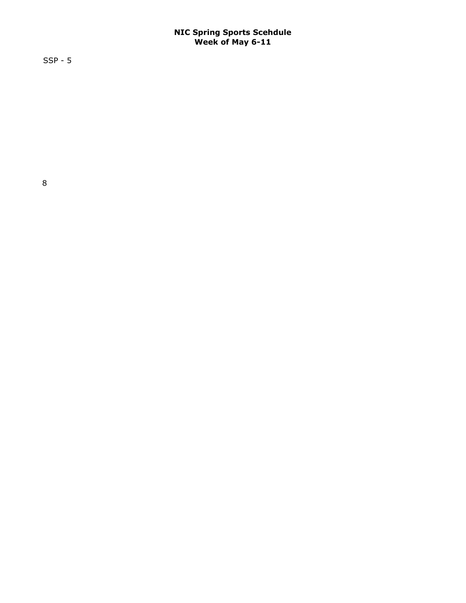SSP - 5

 $\overline{\phantom{a}}$  , 68; 5th-New Prairie  $8$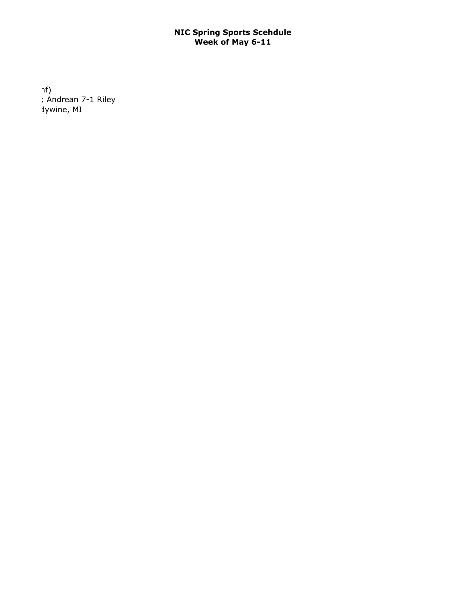$\mathsf{inf}$ )  $\sum_{n=1}^{\infty}$  Andrean 7-1 Riley dywine, MI